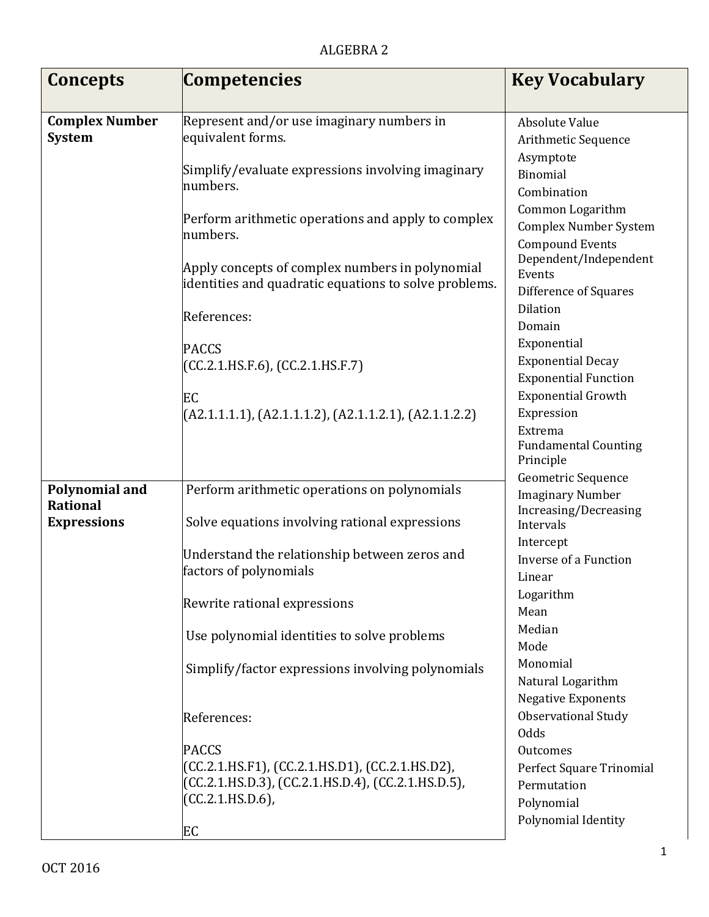| Concepts                                 | <b>Competencies</b>                                                                                                                          | <b>Key Vocabulary</b>                                                      |
|------------------------------------------|----------------------------------------------------------------------------------------------------------------------------------------------|----------------------------------------------------------------------------|
|                                          |                                                                                                                                              |                                                                            |
| <b>Complex Number</b><br><b>System</b>   | Represent and/or use imaginary numbers in<br>equivalent forms.                                                                               | <b>Absolute Value</b><br>Arithmetic Sequence<br>Asymptote                  |
|                                          | Simplify/evaluate expressions involving imaginary<br>numbers.                                                                                | Binomial<br>Combination                                                    |
|                                          | Perform arithmetic operations and apply to complex<br>numbers.                                                                               | Common Logarithm<br><b>Complex Number System</b><br><b>Compound Events</b> |
|                                          | Apply concepts of complex numbers in polynomial<br>identities and quadratic equations to solve problems.                                     | Dependent/Independent<br>Events<br>Difference of Squares                   |
|                                          | References:                                                                                                                                  | <b>Dilation</b><br>Domain                                                  |
|                                          | <b>PACCS</b>                                                                                                                                 | Exponential                                                                |
|                                          | (CC.2.1.HS.F.6), (CC.2.1.HS.F.7)                                                                                                             | <b>Exponential Decay</b><br><b>Exponential Function</b>                    |
|                                          | EC                                                                                                                                           | <b>Exponential Growth</b>                                                  |
|                                          | $(A2.1.1.1.1), (A2.1.1.1.2), (A2.1.1.2.1), (A2.1.1.2.2)$                                                                                     | Expression<br>Extrema<br><b>Fundamental Counting</b>                       |
|                                          |                                                                                                                                              | Principle<br>Geometric Sequence                                            |
| <b>Polynomial and</b><br><b>Rational</b> | Perform arithmetic operations on polynomials                                                                                                 | <b>Imaginary Number</b>                                                    |
| <b>Expressions</b>                       | Solve equations involving rational expressions                                                                                               | Increasing/Decreasing<br>Intervals                                         |
|                                          | Understand the relationship between zeros and<br>factors of polynomials                                                                      | Intercept<br>Inverse of a Function<br>Linear                               |
|                                          | Rewrite rational expressions                                                                                                                 | Logarithm<br>Mean                                                          |
|                                          | Use polynomial identities to solve problems                                                                                                  | Median<br>Mode                                                             |
|                                          | Simplify/factor expressions involving polynomials                                                                                            | Monomial<br>Natural Logarithm<br><b>Negative Exponents</b>                 |
|                                          | References:                                                                                                                                  | <b>Observational Study</b><br>Odds                                         |
|                                          | <b>PACCS</b><br>(CC.2.1.HS.F1), (CC.2.1.HS.D1), (CC.2.1.HS.D2),<br>(CC.2.1.HS.D.3), (CC.2.1.HS.D.4), (CC.2.1.HS.D.5),<br>$(CC.2.1.HS.D.6)$ , | Outcomes<br>Perfect Square Trinomial<br>Permutation<br>Polynomial          |
|                                          | EC                                                                                                                                           | Polynomial Identity                                                        |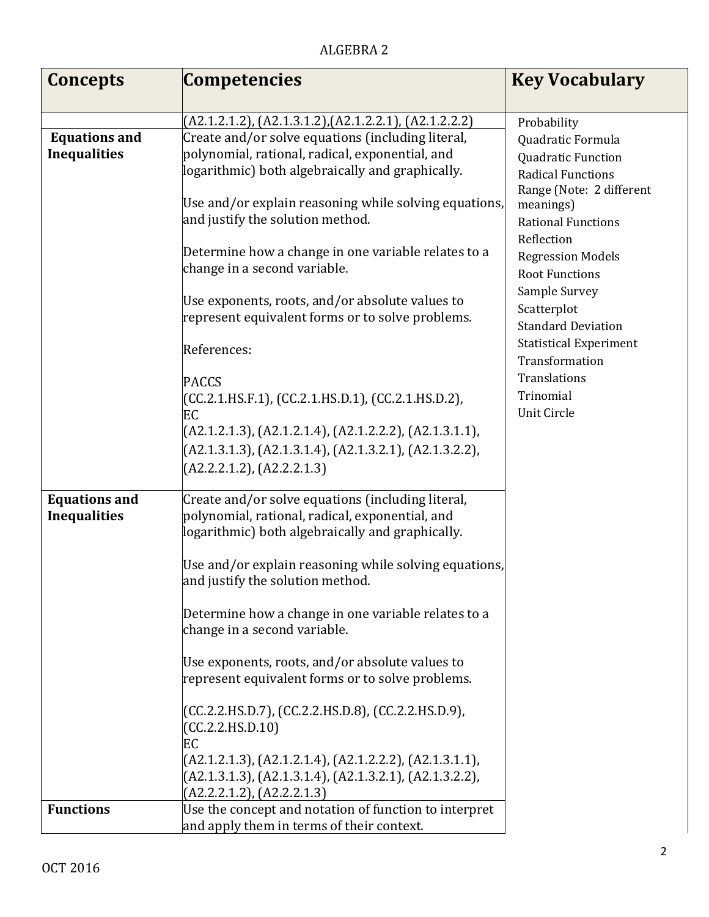## ALGEBRA 2

| <b>Concepts</b>                             | <b>Competencies</b>                                                                                                                                                                                                                                                                                                                                                                                                                                                                                                                                                                                                                                                                                  | <b>Key Vocabulary</b>                                                                                                                                                                                                                                                                                                                                                           |
|---------------------------------------------|------------------------------------------------------------------------------------------------------------------------------------------------------------------------------------------------------------------------------------------------------------------------------------------------------------------------------------------------------------------------------------------------------------------------------------------------------------------------------------------------------------------------------------------------------------------------------------------------------------------------------------------------------------------------------------------------------|---------------------------------------------------------------------------------------------------------------------------------------------------------------------------------------------------------------------------------------------------------------------------------------------------------------------------------------------------------------------------------|
|                                             |                                                                                                                                                                                                                                                                                                                                                                                                                                                                                                                                                                                                                                                                                                      |                                                                                                                                                                                                                                                                                                                                                                                 |
|                                             | (A2.1.2.1.2), (A2.1.3.1.2), (A2.1.2.2.1), (A2.1.2.2.2)                                                                                                                                                                                                                                                                                                                                                                                                                                                                                                                                                                                                                                               | Probability                                                                                                                                                                                                                                                                                                                                                                     |
| <b>Equations and</b><br><b>Inequalities</b> | Create and/or solve equations (including literal,<br>polynomial, rational, radical, exponential, and<br>logarithmic) both algebraically and graphically.<br>Use and/or explain reasoning while solving equations,<br>and justify the solution method.<br>Determine how a change in one variable relates to a<br>change in a second variable.<br>Use exponents, roots, and/or absolute values to<br>represent equivalent forms or to solve problems.<br>References:<br><b>PACCS</b><br>(CC.2.1.HS.F.1), (CC.2.1.HS.D.1), (CC.2.1.HS.D.2),<br>EC<br>(A2.1.2.1.3), (A2.1.2.1.4), (A2.1.2.2.2), (A2.1.3.1.1),<br>$(A2.1.3.1.3), (A2.1.3.1.4), (A2.1.3.2.1), (A2.1.3.2.2),$<br>(A2.2.2.1.2), (A2.2.2.1.3) | Quadratic Formula<br>Quadratic Function<br><b>Radical Functions</b><br>Range (Note: 2 different<br>meanings)<br><b>Rational Functions</b><br>Reflection<br><b>Regression Models</b><br><b>Root Functions</b><br>Sample Survey<br>Scatterplot<br><b>Standard Deviation</b><br><b>Statistical Experiment</b><br>Transformation<br><b>Translations</b><br>Trinomial<br>Unit Circle |
| <b>Equations and</b><br><b>Inequalities</b> | Create and/or solve equations (including literal,<br>polynomial, rational, radical, exponential, and<br>logarithmic) both algebraically and graphically.<br>Use and/or explain reasoning while solving equations,<br>and justify the solution method.<br>Determine how a change in one variable relates to a<br>change in a second variable.<br>Use exponents, roots, and/or absolute values to<br>represent equivalent forms or to solve problems.<br>(CC.2.2.HS.D.7), (CC.2.2.HS.D.8), (CC.2.2.HS.D.9),<br>(CC.2.2.HS.D.10)<br>EC<br>$(A2.1.2.1.3), (A2.1.2.1.4), (A2.1.2.2.2), (A2.1.3.1.1),$<br>$(A2.1.3.1.3), (A2.1.3.1.4), (A2.1.3.2.1), (A2.1.3.2.2),$<br>$(A2.2.2.1.2)$ , $(A2.2.2.1.3)$     |                                                                                                                                                                                                                                                                                                                                                                                 |
| <b>Functions</b>                            | Use the concept and notation of function to interpret<br>and apply them in terms of their context.                                                                                                                                                                                                                                                                                                                                                                                                                                                                                                                                                                                                   |                                                                                                                                                                                                                                                                                                                                                                                 |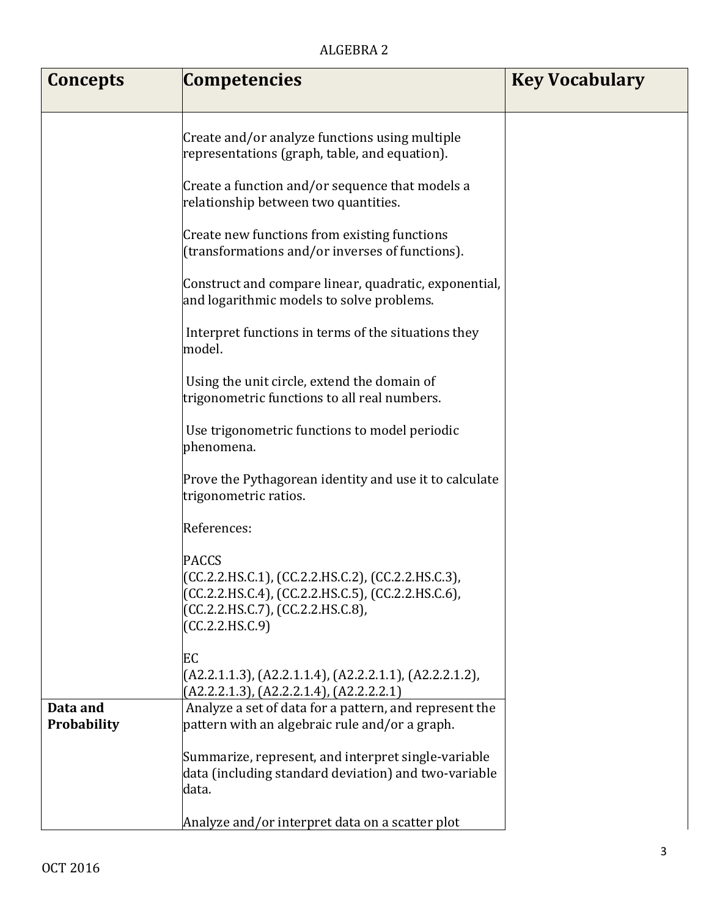## ALGEBRA 2

| Concepts    | <b>Competencies</b>                                                                                                                                                              | <b>Key Vocabulary</b> |
|-------------|----------------------------------------------------------------------------------------------------------------------------------------------------------------------------------|-----------------------|
|             |                                                                                                                                                                                  |                       |
|             | Create and/or analyze functions using multiple<br>representations (graph, table, and equation).                                                                                  |                       |
|             | Create a function and/or sequence that models a<br>relationship between two quantities.                                                                                          |                       |
|             | Create new functions from existing functions<br>(transformations and/or inverses of functions).                                                                                  |                       |
|             | Construct and compare linear, quadratic, exponential,<br>and logarithmic models to solve problems.                                                                               |                       |
|             | Interpret functions in terms of the situations they<br>model.                                                                                                                    |                       |
|             | Using the unit circle, extend the domain of<br>trigonometric functions to all real numbers.                                                                                      |                       |
|             | Use trigonometric functions to model periodic<br>phenomena.                                                                                                                      |                       |
|             | Prove the Pythagorean identity and use it to calculate<br>trigonometric ratios.                                                                                                  |                       |
|             | References:                                                                                                                                                                      |                       |
|             | <b>PACCS</b><br>(CC.2.2.HS.C.1), (CC.2.2.HS.C.2), (CC.2.2.HS.C.3),<br>(CC.2.2.HS.C.4), (CC.2.2.HS.C.5), (CC.2.2.HS.C.6),<br>(CC.2.2.HS.C.7), (CC.2.2.HS.C.8),<br>(CC.2.2.HS.C.9) |                       |
|             | EC<br>$(A2.2.1.1.3), (A2.2.1.1.4), (A2.2.2.1.1), (A2.2.2.1.2),$<br>$(A2.2.2.1.3)$ , $(A2.2.2.1.4)$ , $(A2.2.2.2.1)$                                                              |                       |
| Data and    | Analyze a set of data for a pattern, and represent the                                                                                                                           |                       |
| Probability | pattern with an algebraic rule and/or a graph.                                                                                                                                   |                       |
|             | Summarize, represent, and interpret single-variable<br>data (including standard deviation) and two-variable<br>data.                                                             |                       |
|             | Analyze and/or interpret data on a scatter plot                                                                                                                                  |                       |